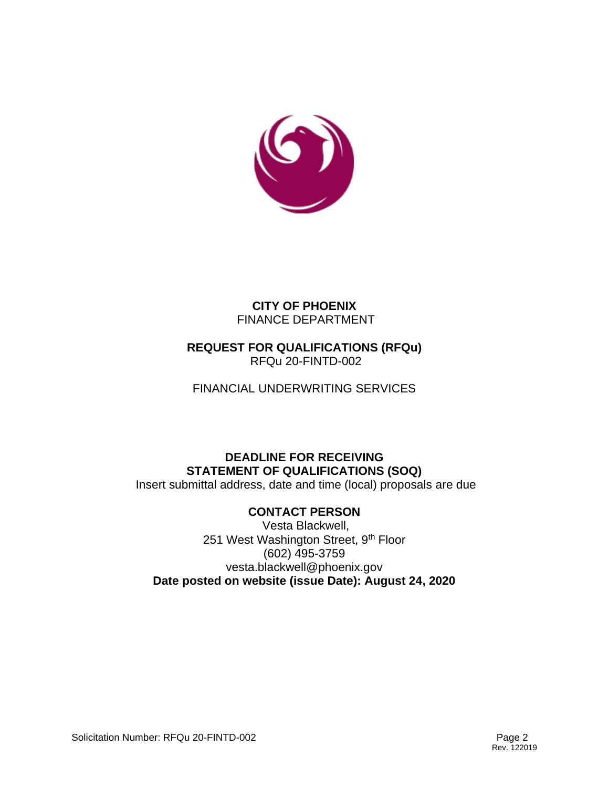

### **CITY OF PHOENIX** FINANCE DEPARTMENT

### **REQUEST FOR QUALIFICATIONS (RFQu)** RFQu 20-FINTD-002

FINANCIAL UNDERWRITING SERVICES

# **DEADLINE FOR RECEIVING STATEMENT OF QUALIFICATIONS (SOQ)**

Insert submittal address, date and time (local) proposals are due

## **CONTACT PERSON**

Vesta Blackwell, 251 West Washington Street, 9th Floor (602) 495-3759 vesta.blackwell@phoenix.gov **Date posted on website (issue Date): August 24, 2020**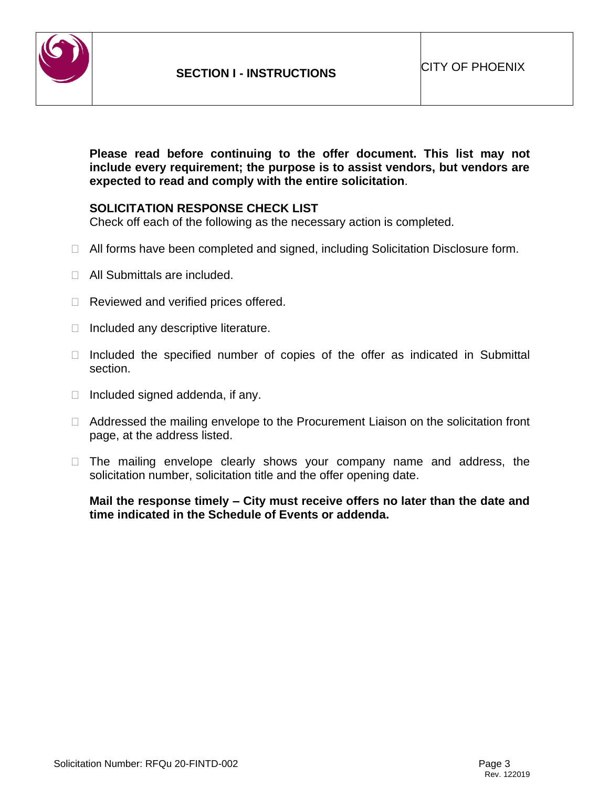

**Please read before continuing to the offer document. This list may not include every requirement; the purpose is to assist vendors, but vendors are expected to read and comply with the entire solicitation**.

### **SOLICITATION RESPONSE CHECK LIST**

Check off each of the following as the necessary action is completed.

- □ All forms have been completed and signed, including Solicitation Disclosure form.
- □ All Submittals are included.
- $\Box$  Reviewed and verified prices offered.
- $\Box$  Included any descriptive literature.
- $\Box$  Included the specified number of copies of the offer as indicated in Submittal section.
- $\Box$  Included signed addenda, if any.
- □ Addressed the mailing envelope to the Procurement Liaison on the solicitation front page, at the address listed.
- $\Box$  The mailing envelope clearly shows your company name and address, the solicitation number, solicitation title and the offer opening date.

#### **Mail the response timely – City must receive offers no later than the date and time indicated in the Schedule of Events or addenda.**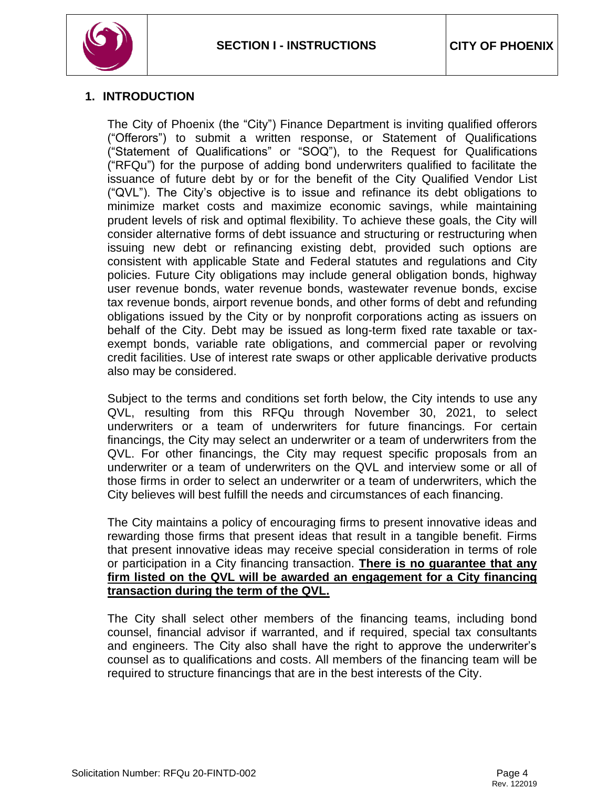

#### **1. INTRODUCTION**

The City of Phoenix (the "City") Finance Department is inviting qualified offerors ("Offerors") to submit a written response, or Statement of Qualifications ("Statement of Qualifications" or "SOQ"), to the Request for Qualifications ("RFQu") for the purpose of adding bond underwriters qualified to facilitate the issuance of future debt by or for the benefit of the City Qualified Vendor List ("QVL"). The City's objective is to issue and refinance its debt obligations to minimize market costs and maximize economic savings, while maintaining prudent levels of risk and optimal flexibility. To achieve these goals, the City will consider alternative forms of debt issuance and structuring or restructuring when issuing new debt or refinancing existing debt, provided such options are consistent with applicable State and Federal statutes and regulations and City policies. Future City obligations may include general obligation bonds, highway user revenue bonds, water revenue bonds, wastewater revenue bonds, excise tax revenue bonds, airport revenue bonds, and other forms of debt and refunding obligations issued by the City or by nonprofit corporations acting as issuers on behalf of the City. Debt may be issued as long-term fixed rate taxable or taxexempt bonds, variable rate obligations, and commercial paper or revolving credit facilities. Use of interest rate swaps or other applicable derivative products also may be considered.

Subject to the terms and conditions set forth below, the City intends to use any QVL, resulting from this RFQu through November 30, 2021, to select underwriters or a team of underwriters for future financings. For certain financings, the City may select an underwriter or a team of underwriters from the QVL. For other financings, the City may request specific proposals from an underwriter or a team of underwriters on the QVL and interview some or all of those firms in order to select an underwriter or a team of underwriters, which the City believes will best fulfill the needs and circumstances of each financing.

The City maintains a policy of encouraging firms to present innovative ideas and rewarding those firms that present ideas that result in a tangible benefit. Firms that present innovative ideas may receive special consideration in terms of role or participation in a City financing transaction. **There is no guarantee that any firm listed on the QVL will be awarded an engagement for a City financing transaction during the term of the QVL.**

The City shall select other members of the financing teams, including bond counsel, financial advisor if warranted, and if required, special tax consultants and engineers. The City also shall have the right to approve the underwriter's counsel as to qualifications and costs. All members of the financing team will be required to structure financings that are in the best interests of the City.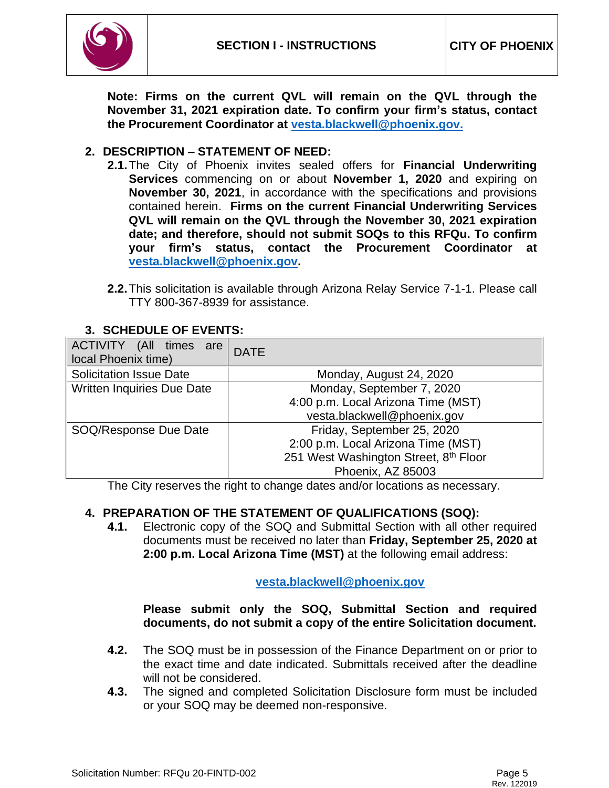

**Note: Firms on the current QVL will remain on the QVL through the November 31, 2021 expiration date. To confirm your firm's status, contact the Procurement Coordinator at vesta.blackwell@phoenix.gov.**

### **2. DESCRIPTION – STATEMENT OF NEED:**

- **2.1.**The City of Phoenix invites sealed offers for **Financial Underwriting Services** commencing on or about **November 1, 2020** and expiring on **November 30, 2021**, in accordance with the specifications and provisions contained herein. **Firms on the current Financial Underwriting Services QVL will remain on the QVL through the November 30, 2021 expiration date; and therefore, should not submit SOQs to this RFQu. To confirm your firm's status, contact the Procurement Coordinator at [vesta.blackwell@phoenix.gov.](mailto:vesta.blackwell@phoenix.gov)**
- **2.2.**This solicitation is available through Arizona Relay Service 7-1-1. Please call TTY 800-367-8939 for assistance.

### **3. SCHEDULE OF EVENTS:**

| ACTIVITY (All times are<br>local Phoenix time) | <b>DATE</b>                           |  |  |
|------------------------------------------------|---------------------------------------|--|--|
| <b>Solicitation Issue Date</b>                 | Monday, August 24, 2020               |  |  |
| Written Inquiries Due Date                     | Monday, September 7, 2020             |  |  |
|                                                | 4:00 p.m. Local Arizona Time (MST)    |  |  |
|                                                | vesta.blackwell@phoenix.gov           |  |  |
| SOQ/Response Due Date                          | Friday, September 25, 2020            |  |  |
|                                                | 2:00 p.m. Local Arizona Time (MST)    |  |  |
|                                                | 251 West Washington Street, 8th Floor |  |  |
|                                                | Phoenix, AZ 85003                     |  |  |

The City reserves the right to change dates and/or locations as necessary.

### **4. PREPARATION OF THE STATEMENT OF QUALIFICATIONS (SOQ):**

**4.1.** Electronic copy of the SOQ and Submittal Section with all other required documents must be received no later than **Friday, September 25, 2020 at 2:00 p.m. Local Arizona Time (MST)** at the following email address:

### **vesta.blackwell@phoenix.gov**

### **Please submit only the SOQ, Submittal Section and required documents, do not submit a copy of the entire Solicitation document.**

- **4.2.** The SOQ must be in possession of the Finance Department on or prior to the exact time and date indicated. Submittals received after the deadline will not be considered.
- **4.3.** The signed and completed Solicitation Disclosure form must be included or your SOQ may be deemed non-responsive.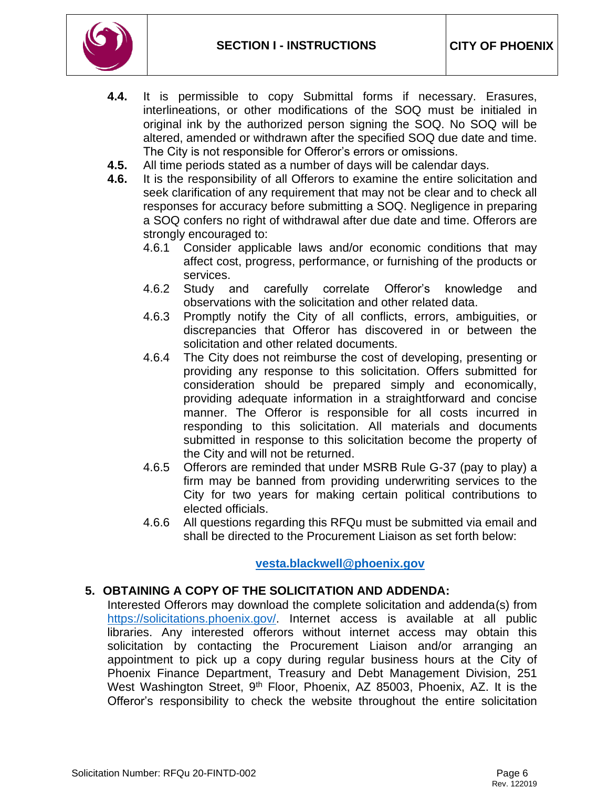



- **4.4.** It is permissible to copy Submittal forms if necessary. Erasures, interlineations, or other modifications of the SOQ must be initialed in original ink by the authorized person signing the SOQ. No SOQ will be altered, amended or withdrawn after the specified SOQ due date and time. The City is not responsible for Offeror's errors or omissions.
- **4.5.** All time periods stated as a number of days will be calendar days.
- **4.6.** It is the responsibility of all Offerors to examine the entire solicitation and seek clarification of any requirement that may not be clear and to check all responses for accuracy before submitting a SOQ. Negligence in preparing a SOQ confers no right of withdrawal after due date and time. Offerors are strongly encouraged to:
	- 4.6.1 Consider applicable laws and/or economic conditions that may affect cost, progress, performance, or furnishing of the products or services.
	- 4.6.2 Study and carefully correlate Offeror's knowledge and observations with the solicitation and other related data.
	- 4.6.3 Promptly notify the City of all conflicts, errors, ambiguities, or discrepancies that Offeror has discovered in or between the solicitation and other related documents.
	- 4.6.4 The City does not reimburse the cost of developing, presenting or providing any response to this solicitation. Offers submitted for consideration should be prepared simply and economically, providing adequate information in a straightforward and concise manner. The Offeror is responsible for all costs incurred in responding to this solicitation. All materials and documents submitted in response to this solicitation become the property of the City and will not be returned.
	- 4.6.5 Offerors are reminded that under MSRB Rule G-37 (pay to play) a firm may be banned from providing underwriting services to the City for two years for making certain political contributions to elected officials.
	- 4.6.6 All questions regarding this RFQu must be submitted via email and shall be directed to the Procurement Liaison as set forth below:

### **vesta.blackwell@phoenix.gov**

### **5. OBTAINING A COPY OF THE SOLICITATION AND ADDENDA:**

Interested Offerors may download the complete solicitation and addenda(s) from [https://solicitations.phoenix.gov/.](https://solicitations.phoenix.gov/) Internet access is available at all public libraries. Any interested offerors without internet access may obtain this solicitation by contacting the Procurement Liaison and/or arranging an appointment to pick up a copy during regular business hours at the City of Phoenix Finance Department, Treasury and Debt Management Division, 251 West Washington Street, 9<sup>th</sup> Floor, Phoenix, AZ 85003, Phoenix, AZ. It is the Offeror's responsibility to check the website throughout the entire solicitation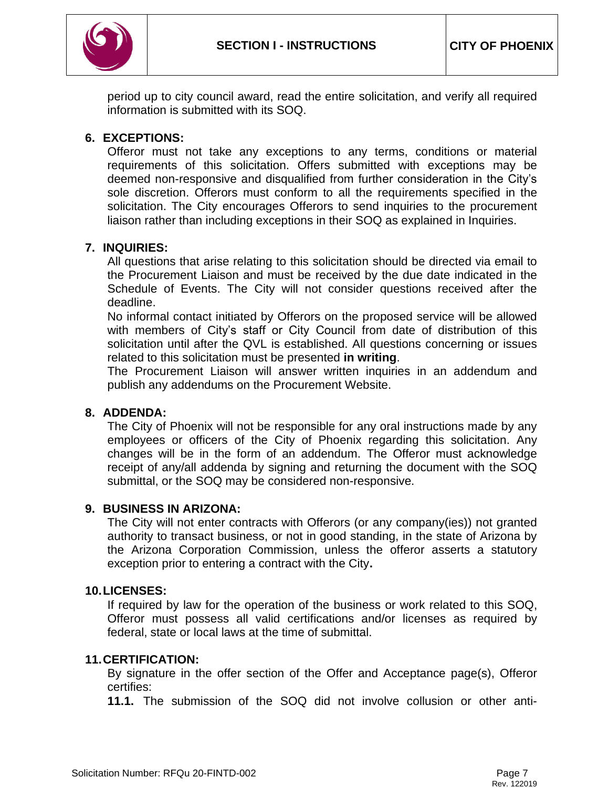

period up to city council award, read the entire solicitation, and verify all required information is submitted with its SOQ.

### **6. EXCEPTIONS:**

Offeror must not take any exceptions to any terms, conditions or material requirements of this solicitation. Offers submitted with exceptions may be deemed non-responsive and disqualified from further consideration in the City's sole discretion. Offerors must conform to all the requirements specified in the solicitation. The City encourages Offerors to send inquiries to the procurement liaison rather than including exceptions in their SOQ as explained in Inquiries.

### **7. INQUIRIES:**

All questions that arise relating to this solicitation should be directed via email to the Procurement Liaison and must be received by the due date indicated in the Schedule of Events. The City will not consider questions received after the deadline.

No informal contact initiated by Offerors on the proposed service will be allowed with members of City's staff or City Council from date of distribution of this solicitation until after the QVL is established. All questions concerning or issues related to this solicitation must be presented **in writing**.

The Procurement Liaison will answer written inquiries in an addendum and publish any addendums on the Procurement Website.

### **8. ADDENDA:**

The City of Phoenix will not be responsible for any oral instructions made by any employees or officers of the City of Phoenix regarding this solicitation. Any changes will be in the form of an addendum. The Offeror must acknowledge receipt of any/all addenda by signing and returning the document with the SOQ submittal, or the SOQ may be considered non-responsive.

### **9. BUSINESS IN ARIZONA:**

The City will not enter contracts with Offerors (or any company(ies)) not granted authority to transact business, or not in good standing, in the state of Arizona by the Arizona Corporation Commission, unless the offeror asserts a statutory exception prior to entering a contract with the City**.**

### **10.LICENSES:**

If required by law for the operation of the business or work related to this SOQ, Offeror must possess all valid certifications and/or licenses as required by federal, state or local laws at the time of submittal.

### **11.CERTIFICATION:**

By signature in the offer section of the Offer and Acceptance page(s), Offeror certifies:

**11.1.** The submission of the SOQ did not involve collusion or other anti-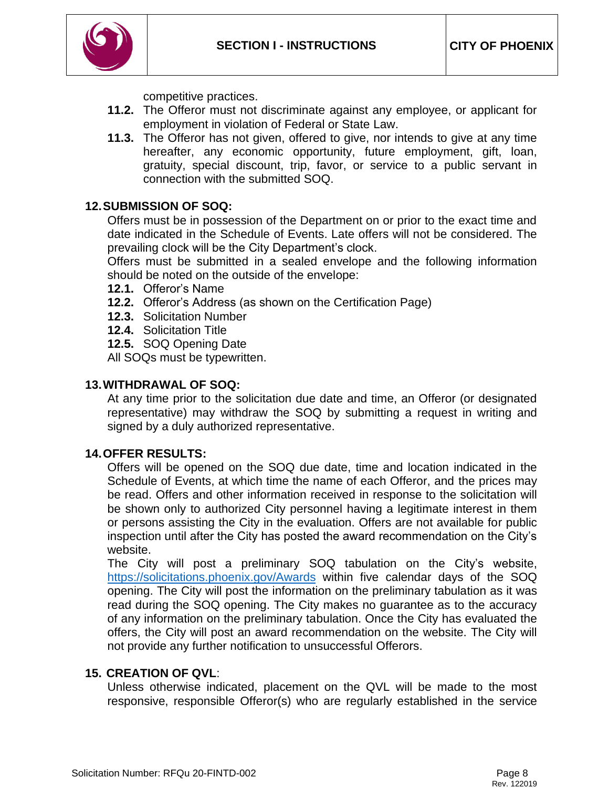

competitive practices.

- **11.2.** The Offeror must not discriminate against any employee, or applicant for employment in violation of Federal or State Law.
- **11.3.** The Offeror has not given, offered to give, nor intends to give at any time hereafter, any economic opportunity, future employment, gift, loan, gratuity, special discount, trip, favor, or service to a public servant in connection with the submitted SOQ.

### **12.SUBMISSION OF SOQ:**

Offers must be in possession of the Department on or prior to the exact time and date indicated in the Schedule of Events. Late offers will not be considered. The prevailing clock will be the City Department's clock.

Offers must be submitted in a sealed envelope and the following information should be noted on the outside of the envelope:

- **12.1.** Offeror's Name
- **12.2.** Offeror's Address (as shown on the Certification Page)
- **12.3.** Solicitation Number
- **12.4.** Solicitation Title

**12.5.** SOQ Opening Date

All SOQs must be typewritten.

### **13.WITHDRAWAL OF SOQ:**

At any time prior to the solicitation due date and time, an Offeror (or designated representative) may withdraw the SOQ by submitting a request in writing and signed by a duly authorized representative.

### **14.OFFER RESULTS:**

Offers will be opened on the SOQ due date, time and location indicated in the Schedule of Events, at which time the name of each Offeror, and the prices may be read. Offers and other information received in response to the solicitation will be shown only to authorized City personnel having a legitimate interest in them or persons assisting the City in the evaluation. Offers are not available for public inspection until after the City has posted the award recommendation on the City's website.

The City will post a preliminary SOQ tabulation on the City's website, <https://solicitations.phoenix.gov/Awards> within five calendar days of the SOQ opening. The City will post the information on the preliminary tabulation as it was read during the SOQ opening. The City makes no guarantee as to the accuracy of any information on the preliminary tabulation. Once the City has evaluated the offers, the City will post an award recommendation on the website. The City will not provide any further notification to unsuccessful Offerors.

#### **15. CREATION OF QVL**:

Unless otherwise indicated, placement on the QVL will be made to the most responsive, responsible Offeror(s) who are regularly established in the service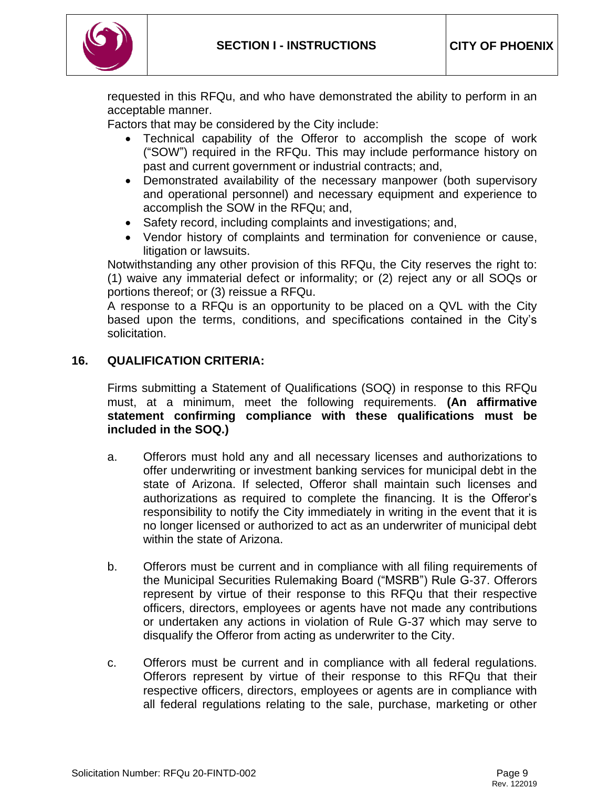

requested in this RFQu, and who have demonstrated the ability to perform in an acceptable manner.

Factors that may be considered by the City include:

- Technical capability of the Offeror to accomplish the scope of work ("SOW") required in the RFQu. This may include performance history on past and current government or industrial contracts; and,
- Demonstrated availability of the necessary manpower (both supervisory and operational personnel) and necessary equipment and experience to accomplish the SOW in the RFQu; and,
- Safety record, including complaints and investigations; and,
- Vendor history of complaints and termination for convenience or cause, litigation or lawsuits.

Notwithstanding any other provision of this RFQu, the City reserves the right to: (1) waive any immaterial defect or informality; or (2) reject any or all SOQs or portions thereof; or (3) reissue a RFQu.

A response to a RFQu is an opportunity to be placed on a QVL with the City based upon the terms, conditions, and specifications contained in the City's solicitation.

### **16. QUALIFICATION CRITERIA:**

Firms submitting a Statement of Qualifications (SOQ) in response to this RFQu must, at a minimum, meet the following requirements. **(An affirmative statement confirming compliance with these qualifications must be included in the SOQ.)**

- a. Offerors must hold any and all necessary licenses and authorizations to offer underwriting or investment banking services for municipal debt in the state of Arizona. If selected, Offeror shall maintain such licenses and authorizations as required to complete the financing. It is the Offeror's responsibility to notify the City immediately in writing in the event that it is no longer licensed or authorized to act as an underwriter of municipal debt within the state of Arizona.
- b. Offerors must be current and in compliance with all filing requirements of the Municipal Securities Rulemaking Board ("MSRB") Rule G-37. Offerors represent by virtue of their response to this RFQu that their respective officers, directors, employees or agents have not made any contributions or undertaken any actions in violation of Rule G-37 which may serve to disqualify the Offeror from acting as underwriter to the City.
- c. Offerors must be current and in compliance with all federal regulations. Offerors represent by virtue of their response to this RFQu that their respective officers, directors, employees or agents are in compliance with all federal regulations relating to the sale, purchase, marketing or other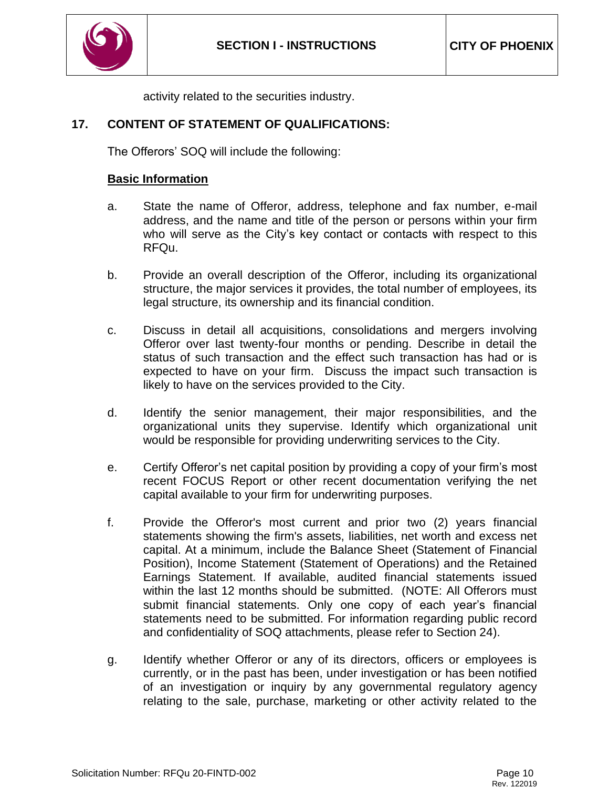

activity related to the securities industry.

#### **17. CONTENT OF STATEMENT OF QUALIFICATIONS:**

The Offerors' SOQ will include the following:

#### **Basic Information**

- a. State the name of Offeror, address, telephone and fax number, e-mail address, and the name and title of the person or persons within your firm who will serve as the City's key contact or contacts with respect to this RFQu.
- b. Provide an overall description of the Offeror, including its organizational structure, the major services it provides, the total number of employees, its legal structure, its ownership and its financial condition.
- c. Discuss in detail all acquisitions, consolidations and mergers involving Offeror over last twenty-four months or pending. Describe in detail the status of such transaction and the effect such transaction has had or is expected to have on your firm. Discuss the impact such transaction is likely to have on the services provided to the City.
- d. Identify the senior management, their major responsibilities, and the organizational units they supervise. Identify which organizational unit would be responsible for providing underwriting services to the City.
- e. Certify Offeror's net capital position by providing a copy of your firm's most recent FOCUS Report or other recent documentation verifying the net capital available to your firm for underwriting purposes.
- f. Provide the Offeror's most current and prior two (2) years financial statements showing the firm's assets, liabilities, net worth and excess net capital. At a minimum, include the Balance Sheet (Statement of Financial Position), Income Statement (Statement of Operations) and the Retained Earnings Statement. If available, audited financial statements issued within the last 12 months should be submitted. (NOTE: All Offerors must submit financial statements. Only one copy of each year's financial statements need to be submitted. For information regarding public record and confidentiality of SOQ attachments, please refer to Section 24).
- g. Identify whether Offeror or any of its directors, officers or employees is currently, or in the past has been, under investigation or has been notified of an investigation or inquiry by any governmental regulatory agency relating to the sale, purchase, marketing or other activity related to the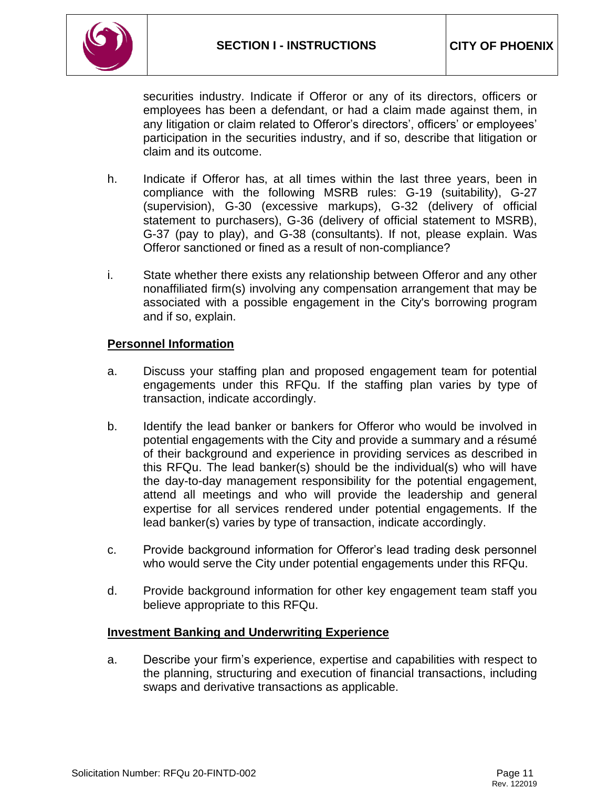

securities industry. Indicate if Offeror or any of its directors, officers or employees has been a defendant, or had a claim made against them, in any litigation or claim related to Offeror's directors', officers' or employees' participation in the securities industry, and if so, describe that litigation or claim and its outcome.

- h. Indicate if Offeror has, at all times within the last three years, been in compliance with the following MSRB rules: G-19 (suitability), G-27 (supervision), G-30 (excessive markups), G-32 (delivery of official statement to purchasers), G-36 (delivery of official statement to MSRB), G-37 (pay to play), and G-38 (consultants). If not, please explain. Was Offeror sanctioned or fined as a result of non-compliance?
- i. State whether there exists any relationship between Offeror and any other nonaffiliated firm(s) involving any compensation arrangement that may be associated with a possible engagement in the City's borrowing program and if so, explain.

### **Personnel Information**

- a. Discuss your staffing plan and proposed engagement team for potential engagements under this RFQu. If the staffing plan varies by type of transaction, indicate accordingly.
- b. Identify the lead banker or bankers for Offeror who would be involved in potential engagements with the City and provide a summary and a résumé of their background and experience in providing services as described in this RFQu. The lead banker(s) should be the individual(s) who will have the day-to-day management responsibility for the potential engagement, attend all meetings and who will provide the leadership and general expertise for all services rendered under potential engagements. If the lead banker(s) varies by type of transaction, indicate accordingly.
- c. Provide background information for Offeror's lead trading desk personnel who would serve the City under potential engagements under this RFQu.
- d. Provide background information for other key engagement team staff you believe appropriate to this RFQu.

### **Investment Banking and Underwriting Experience**

a. Describe your firm's experience, expertise and capabilities with respect to the planning, structuring and execution of financial transactions, including swaps and derivative transactions as applicable.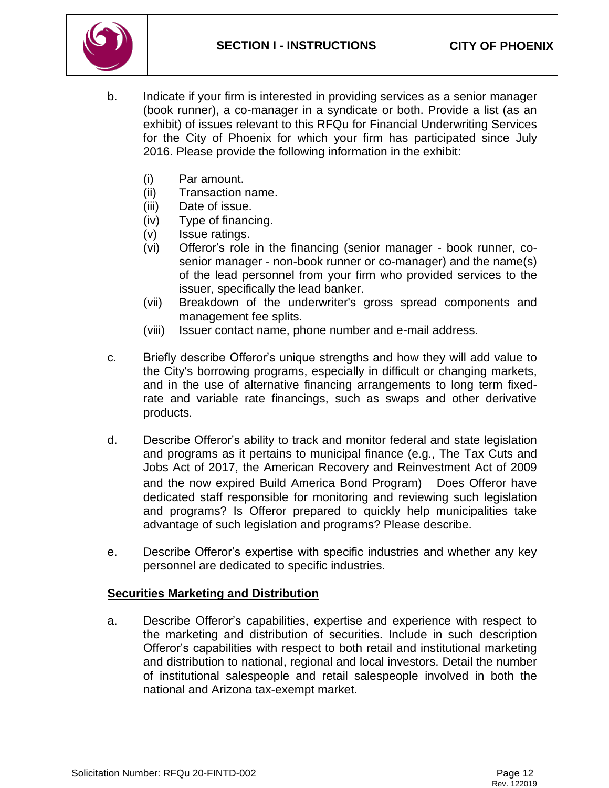

- b. Indicate if your firm is interested in providing services as a senior manager (book runner), a co-manager in a syndicate or both. Provide a list (as an exhibit) of issues relevant to this RFQu for Financial Underwriting Services for the City of Phoenix for which your firm has participated since July 2016. Please provide the following information in the exhibit:
	- (i) Par amount.
	- (ii) Transaction name.
	- (iii) Date of issue.
	- (iv) Type of financing.
	- (v) Issue ratings.
	- (vi) Offeror's role in the financing (senior manager book runner, cosenior manager - non-book runner or co-manager) and the name(s) of the lead personnel from your firm who provided services to the issuer, specifically the lead banker.
	- (vii) Breakdown of the underwriter's gross spread components and management fee splits.
	- (viii) Issuer contact name, phone number and e-mail address.
- c. Briefly describe Offeror's unique strengths and how they will add value to the City's borrowing programs, especially in difficult or changing markets, and in the use of alternative financing arrangements to long term fixedrate and variable rate financings, such as swaps and other derivative products.
- d. Describe Offeror's ability to track and monitor federal and state legislation and programs as it pertains to municipal finance (e.g., The Tax Cuts and Jobs Act of 2017, the American Recovery and Reinvestment Act of 2009 and the now expired Build America Bond Program).Does Offeror have dedicated staff responsible for monitoring and reviewing such legislation and programs? Is Offeror prepared to quickly help municipalities take advantage of such legislation and programs? Please describe.
- e. Describe Offeror's expertise with specific industries and whether any key personnel are dedicated to specific industries.

### **Securities Marketing and Distribution**

a. Describe Offeror's capabilities, expertise and experience with respect to the marketing and distribution of securities. Include in such description Offeror's capabilities with respect to both retail and institutional marketing and distribution to national, regional and local investors. Detail the number of institutional salespeople and retail salespeople involved in both the national and Arizona tax-exempt market.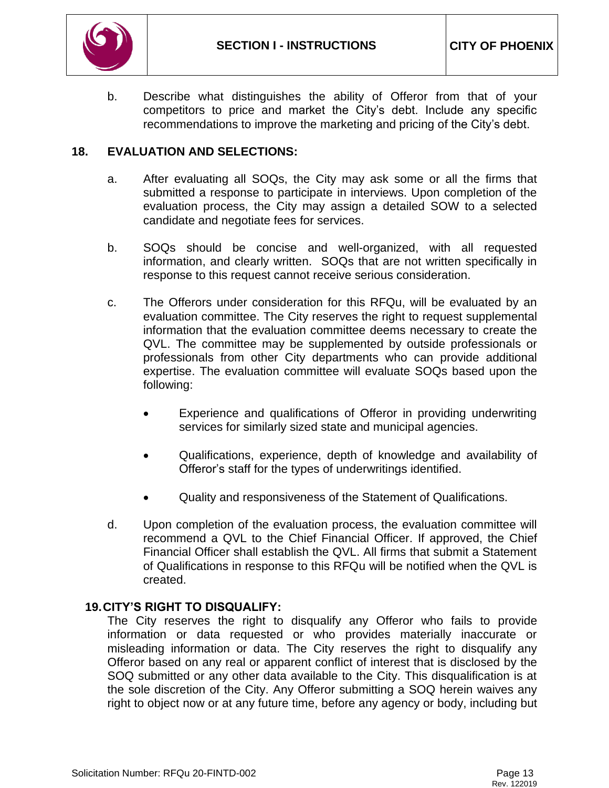

b. Describe what distinguishes the ability of Offeror from that of your competitors to price and market the City's debt. Include any specific recommendations to improve the marketing and pricing of the City's debt.

#### **18. EVALUATION AND SELECTIONS:**

- a. After evaluating all SOQs, the City may ask some or all the firms that submitted a response to participate in interviews. Upon completion of the evaluation process, the City may assign a detailed SOW to a selected candidate and negotiate fees for services.
- b. SOQs should be concise and well-organized, with all requested information, and clearly written. SOQs that are not written specifically in response to this request cannot receive serious consideration.
- c. The Offerors under consideration for this RFQu, will be evaluated by an evaluation committee. The City reserves the right to request supplemental information that the evaluation committee deems necessary to create the QVL. The committee may be supplemented by outside professionals or professionals from other City departments who can provide additional expertise. The evaluation committee will evaluate SOQs based upon the following:
	- Experience and qualifications of Offeror in providing underwriting services for similarly sized state and municipal agencies.
	- Qualifications, experience, depth of knowledge and availability of Offeror's staff for the types of underwritings identified.
	- Quality and responsiveness of the Statement of Qualifications.
- d. Upon completion of the evaluation process, the evaluation committee will recommend a QVL to the Chief Financial Officer. If approved, the Chief Financial Officer shall establish the QVL. All firms that submit a Statement of Qualifications in response to this RFQu will be notified when the QVL is created.

#### **19.CITY'S RIGHT TO DISQUALIFY:**

The City reserves the right to disqualify any Offeror who fails to provide information or data requested or who provides materially inaccurate or misleading information or data. The City reserves the right to disqualify any Offeror based on any real or apparent conflict of interest that is disclosed by the SOQ submitted or any other data available to the City. This disqualification is at the sole discretion of the City. Any Offeror submitting a SOQ herein waives any right to object now or at any future time, before any agency or body, including but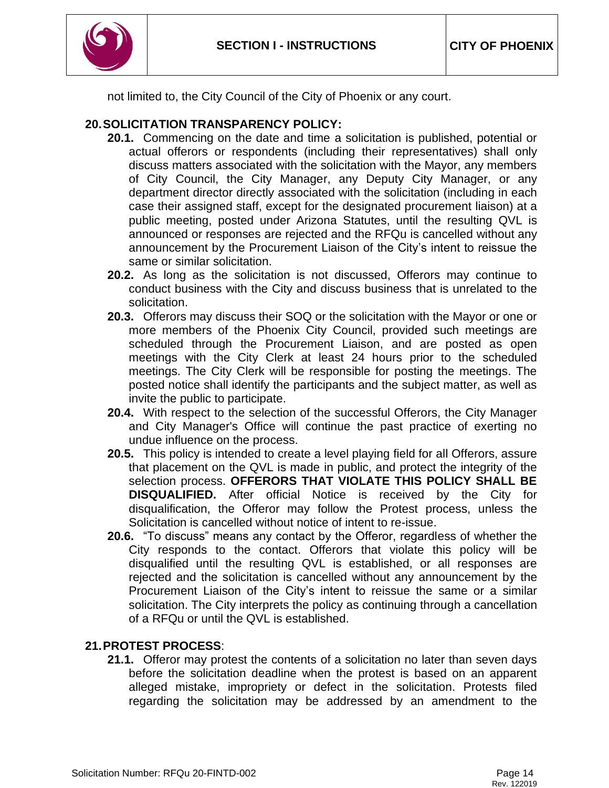

not limited to, the City Council of the City of Phoenix or any court.

### **20.SOLICITATION TRANSPARENCY POLICY:**

- **20.1.** Commencing on the date and time a solicitation is published, potential or actual offerors or respondents (including their representatives) shall only discuss matters associated with the solicitation with the Mayor, any members of City Council, the City Manager, any Deputy City Manager, or any department director directly associated with the solicitation (including in each case their assigned staff, except for the designated procurement liaison) at a public meeting, posted under Arizona Statutes, until the resulting QVL is announced or responses are rejected and the RFQu is cancelled without any announcement by the Procurement Liaison of the City's intent to reissue the same or similar solicitation.
- **20.2.** As long as the solicitation is not discussed, Offerors may continue to conduct business with the City and discuss business that is unrelated to the solicitation.
- **20.3.** Offerors may discuss their SOQ or the solicitation with the Mayor or one or more members of the Phoenix City Council, provided such meetings are scheduled through the Procurement Liaison, and are posted as open meetings with the City Clerk at least 24 hours prior to the scheduled meetings. The City Clerk will be responsible for posting the meetings. The posted notice shall identify the participants and the subject matter, as well as invite the public to participate.
- **20.4.** With respect to the selection of the successful Offerors, the City Manager and City Manager's Office will continue the past practice of exerting no undue influence on the process.
- **20.5.** This policy is intended to create a level playing field for all Offerors, assure that placement on the QVL is made in public, and protect the integrity of the selection process. **OFFERORS THAT VIOLATE THIS POLICY SHALL BE DISQUALIFIED.** After official Notice is received by the City for disqualification, the Offeror may follow the Protest process, unless the Solicitation is cancelled without notice of intent to re-issue.
- **20.6.** "To discuss" means any contact by the Offeror, regardless of whether the City responds to the contact. Offerors that violate this policy will be disqualified until the resulting QVL is established, or all responses are rejected and the solicitation is cancelled without any announcement by the Procurement Liaison of the City's intent to reissue the same or a similar solicitation. The City interprets the policy as continuing through a cancellation of a RFQu or until the QVL is established.

### **21.PROTEST PROCESS**:

**21.1.** Offeror may protest the contents of a solicitation no later than seven days before the solicitation deadline when the protest is based on an apparent alleged mistake, impropriety or defect in the solicitation. Protests filed regarding the solicitation may be addressed by an amendment to the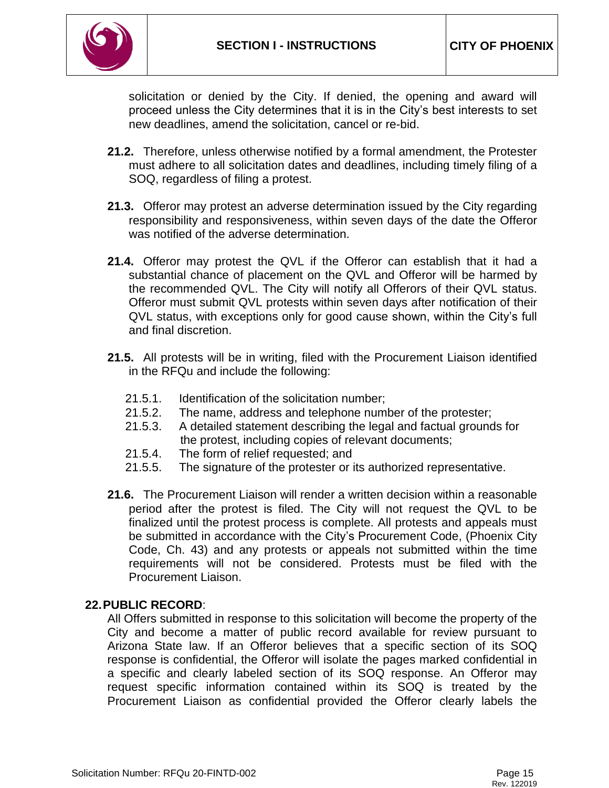new deadlines, amend the solicitation, cancel or re-bid.



solicitation or denied by the City. If denied, the opening and award will proceed unless the City determines that it is in the City's best interests to set

- **21.2.** Therefore, unless otherwise notified by a formal amendment, the Protester must adhere to all solicitation dates and deadlines, including timely filing of a SOQ, regardless of filing a protest.
- **21.3.** Offeror may protest an adverse determination issued by the City regarding responsibility and responsiveness, within seven days of the date the Offeror was notified of the adverse determination.
- **21.4.** Offeror may protest the QVL if the Offeror can establish that it had a substantial chance of placement on the QVL and Offeror will be harmed by the recommended QVL. The City will notify all Offerors of their QVL status. Offeror must submit QVL protests within seven days after notification of their QVL status, with exceptions only for good cause shown, within the City's full and final discretion.
- **21.5.** All protests will be in writing, filed with the Procurement Liaison identified in the RFQu and include the following:
	- 21.5.1. Identification of the solicitation number;
	- 21.5.2. The name, address and telephone number of the protester;
	- 21.5.3. A detailed statement describing the legal and factual grounds for the protest, including copies of relevant documents;
	- 21.5.4. The form of relief requested; and
	- 21.5.5. The signature of the protester or its authorized representative.
- **21.6.** The Procurement Liaison will render a written decision within a reasonable period after the protest is filed. The City will not request the QVL to be finalized until the protest process is complete. All protests and appeals must be submitted in accordance with the City's Procurement Code, (Phoenix City Code, Ch. 43) and any protests or appeals not submitted within the time requirements will not be considered. Protests must be filed with the Procurement Liaison.

### **22.PUBLIC RECORD**:

All Offers submitted in response to this solicitation will become the property of the City and become a matter of public record available for review pursuant to Arizona State law. If an Offeror believes that a specific section of its SOQ response is confidential, the Offeror will isolate the pages marked confidential in a specific and clearly labeled section of its SOQ response. An Offeror may request specific information contained within its SOQ is treated by the Procurement Liaison as confidential provided the Offeror clearly labels the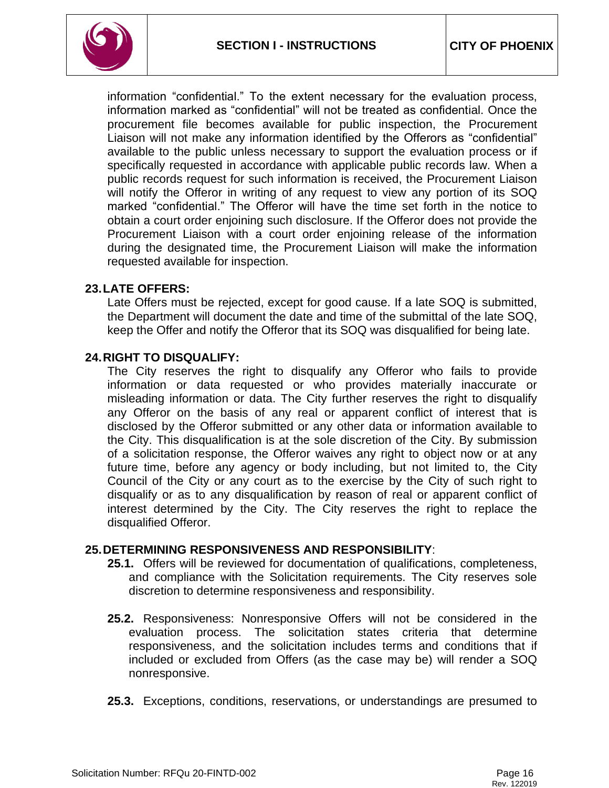

information "confidential." To the extent necessary for the evaluation process, information marked as "confidential" will not be treated as confidential. Once the procurement file becomes available for public inspection, the Procurement Liaison will not make any information identified by the Offerors as "confidential" available to the public unless necessary to support the evaluation process or if specifically requested in accordance with applicable public records law. When a public records request for such information is received, the Procurement Liaison will notify the Offeror in writing of any request to view any portion of its SOQ marked "confidential." The Offeror will have the time set forth in the notice to obtain a court order enjoining such disclosure. If the Offeror does not provide the Procurement Liaison with a court order enjoining release of the information during the designated time, the Procurement Liaison will make the information requested available for inspection.

### **23.LATE OFFERS:**

Late Offers must be rejected, except for good cause. If a late SOQ is submitted, the Department will document the date and time of the submittal of the late SOQ, keep the Offer and notify the Offeror that its SOQ was disqualified for being late.

#### **24.RIGHT TO DISQUALIFY:**

The City reserves the right to disqualify any Offeror who fails to provide information or data requested or who provides materially inaccurate or misleading information or data. The City further reserves the right to disqualify any Offeror on the basis of any real or apparent conflict of interest that is disclosed by the Offeror submitted or any other data or information available to the City. This disqualification is at the sole discretion of the City. By submission of a solicitation response, the Offeror waives any right to object now or at any future time, before any agency or body including, but not limited to, the City Council of the City or any court as to the exercise by the City of such right to disqualify or as to any disqualification by reason of real or apparent conflict of interest determined by the City. The City reserves the right to replace the disqualified Offeror.

### **25.DETERMINING RESPONSIVENESS AND RESPONSIBILITY**:

- **25.1.** Offers will be reviewed for documentation of qualifications, completeness, and compliance with the Solicitation requirements. The City reserves sole discretion to determine responsiveness and responsibility.
- **25.2.** Responsiveness: Nonresponsive Offers will not be considered in the evaluation process. The solicitation states criteria that determine responsiveness, and the solicitation includes terms and conditions that if included or excluded from Offers (as the case may be) will render a SOQ nonresponsive.
- **25.3.** Exceptions, conditions, reservations, or understandings are presumed to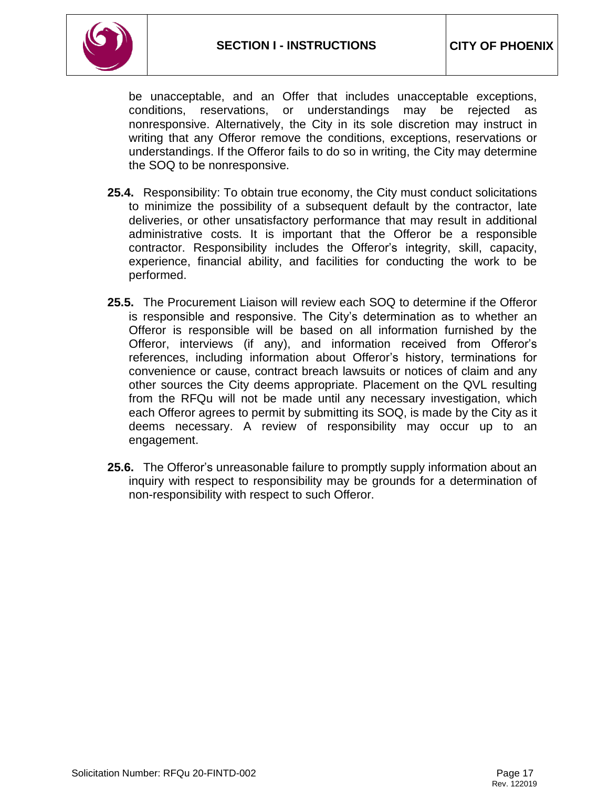

be unacceptable, and an Offer that includes unacceptable exceptions, conditions, reservations, or understandings may be rejected as nonresponsive. Alternatively, the City in its sole discretion may instruct in writing that any Offeror remove the conditions, exceptions, reservations or understandings. If the Offeror fails to do so in writing, the City may determine the SOQ to be nonresponsive.

- **25.4.** Responsibility: To obtain true economy, the City must conduct solicitations to minimize the possibility of a subsequent default by the contractor, late deliveries, or other unsatisfactory performance that may result in additional administrative costs. It is important that the Offeror be a responsible contractor. Responsibility includes the Offeror's integrity, skill, capacity, experience, financial ability, and facilities for conducting the work to be performed.
- **25.5.** The Procurement Liaison will review each SOQ to determine if the Offeror is responsible and responsive. The City's determination as to whether an Offeror is responsible will be based on all information furnished by the Offeror, interviews (if any), and information received from Offeror's references, including information about Offeror's history, terminations for convenience or cause, contract breach lawsuits or notices of claim and any other sources the City deems appropriate. Placement on the QVL resulting from the RFQu will not be made until any necessary investigation, which each Offeror agrees to permit by submitting its SOQ, is made by the City as it deems necessary. A review of responsibility may occur up to an engagement.
- **25.6.** The Offeror's unreasonable failure to promptly supply information about an inquiry with respect to responsibility may be grounds for a determination of non-responsibility with respect to such Offeror.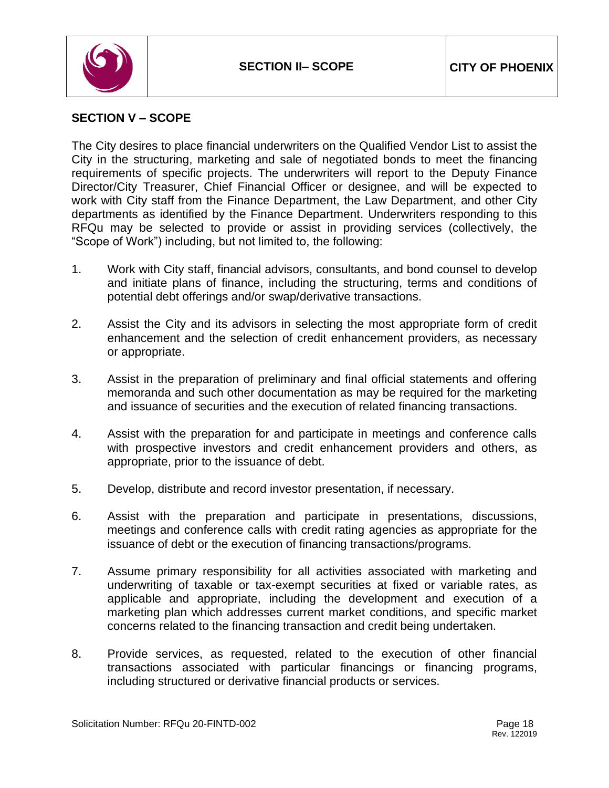

### <span id="page-17-0"></span>**SECTION V – SCOPE**

The City desires to place financial underwriters on the Qualified Vendor List to assist the City in the structuring, marketing and sale of negotiated bonds to meet the financing requirements of specific projects. The underwriters will report to the Deputy Finance Director/City Treasurer, Chief Financial Officer or designee, and will be expected to work with City staff from the Finance Department, the Law Department, and other City departments as identified by the Finance Department. Underwriters responding to this RFQu may be selected to provide or assist in providing services (collectively, the "Scope of Work") including, but not limited to, the following:

- 1. Work with City staff, financial advisors, consultants, and bond counsel to develop and initiate plans of finance, including the structuring, terms and conditions of potential debt offerings and/or swap/derivative transactions.
- 2. Assist the City and its advisors in selecting the most appropriate form of credit enhancement and the selection of credit enhancement providers, as necessary or appropriate.
- 3. Assist in the preparation of preliminary and final official statements and offering memoranda and such other documentation as may be required for the marketing and issuance of securities and the execution of related financing transactions.
- 4. Assist with the preparation for and participate in meetings and conference calls with prospective investors and credit enhancement providers and others, as appropriate, prior to the issuance of debt.
- 5. Develop, distribute and record investor presentation, if necessary.
- 6. Assist with the preparation and participate in presentations, discussions, meetings and conference calls with credit rating agencies as appropriate for the issuance of debt or the execution of financing transactions/programs.
- 7. Assume primary responsibility for all activities associated with marketing and underwriting of taxable or tax-exempt securities at fixed or variable rates, as applicable and appropriate, including the development and execution of a marketing plan which addresses current market conditions, and specific market concerns related to the financing transaction and credit being undertaken.
- 8. Provide services, as requested, related to the execution of other financial transactions associated with particular financings or financing programs, including structured or derivative financial products or services.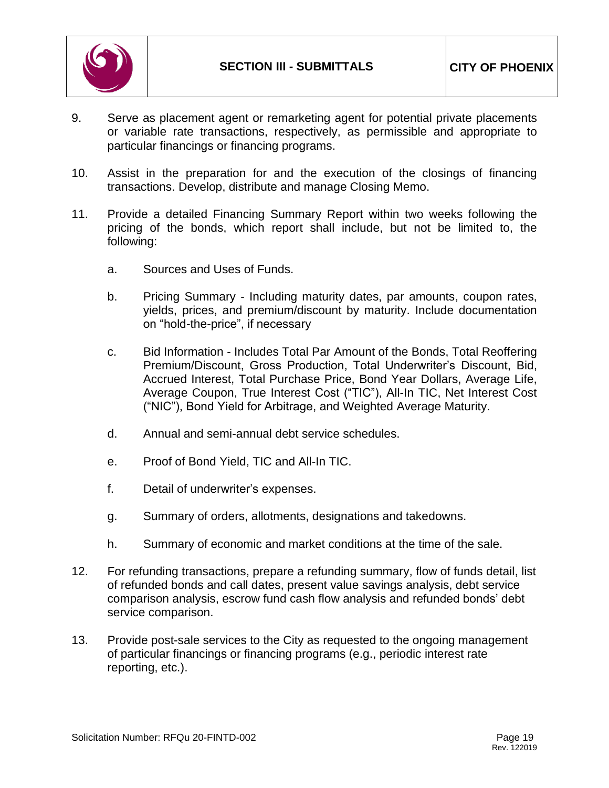

- 9. Serve as placement agent or remarketing agent for potential private placements or variable rate transactions, respectively, as permissible and appropriate to particular financings or financing programs.
- 10. Assist in the preparation for and the execution of the closings of financing transactions. Develop, distribute and manage Closing Memo.
- 11. Provide a detailed Financing Summary Report within two weeks following the pricing of the bonds, which report shall include, but not be limited to, the following:
	- a. Sources and Uses of Funds.
	- b. Pricing Summary Including maturity dates, par amounts, coupon rates, yields, prices, and premium/discount by maturity. Include documentation on "hold-the-price", if necessary
	- c. Bid Information Includes Total Par Amount of the Bonds, Total Reoffering Premium/Discount, Gross Production, Total Underwriter's Discount, Bid, Accrued Interest, Total Purchase Price, Bond Year Dollars, Average Life, Average Coupon, True Interest Cost ("TIC"), All-In TIC, Net Interest Cost ("NIC"), Bond Yield for Arbitrage, and Weighted Average Maturity.
	- d. Annual and semi-annual debt service schedules.
	- e. Proof of Bond Yield, TIC and All-In TIC.
	- f. Detail of underwriter's expenses.
	- g. Summary of orders, allotments, designations and takedowns.
	- h. Summary of economic and market conditions at the time of the sale.
- 12. For refunding transactions, prepare a refunding summary, flow of funds detail, list of refunded bonds and call dates, present value savings analysis, debt service comparison analysis, escrow fund cash flow analysis and refunded bonds' debt service comparison.
- 13. Provide post-sale services to the City as requested to the ongoing management of particular financings or financing programs (e.g., periodic interest rate reporting, etc.).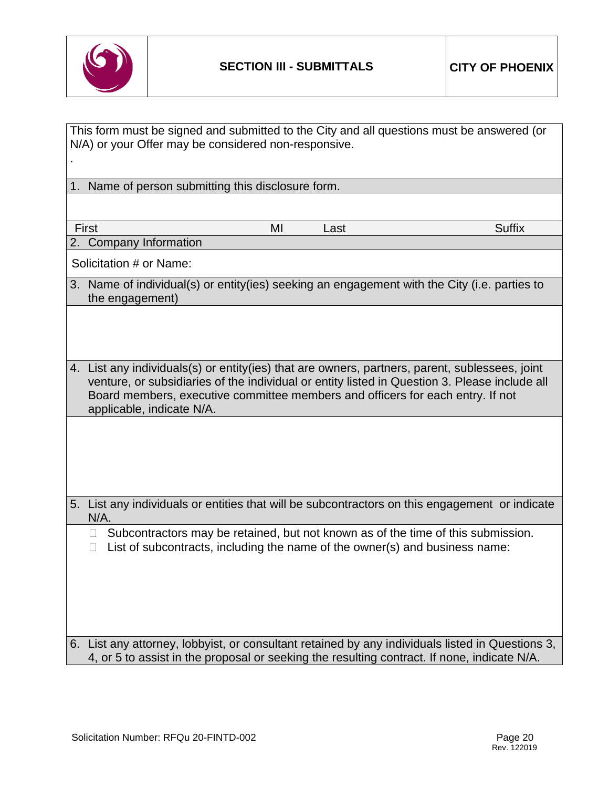

| This form must be signed and submitted to the City and all questions must be answered (or<br>N/A) or your Offer may be considered non-responsive. |                                                                                                                                                                                                                                                                                                             |    |      |               |
|---------------------------------------------------------------------------------------------------------------------------------------------------|-------------------------------------------------------------------------------------------------------------------------------------------------------------------------------------------------------------------------------------------------------------------------------------------------------------|----|------|---------------|
| 1.                                                                                                                                                | Name of person submitting this disclosure form.                                                                                                                                                                                                                                                             |    |      |               |
|                                                                                                                                                   |                                                                                                                                                                                                                                                                                                             |    |      |               |
|                                                                                                                                                   | First                                                                                                                                                                                                                                                                                                       | MI | Last | <b>Suffix</b> |
| 2.                                                                                                                                                | <b>Company Information</b>                                                                                                                                                                                                                                                                                  |    |      |               |
|                                                                                                                                                   | Solicitation # or Name:                                                                                                                                                                                                                                                                                     |    |      |               |
|                                                                                                                                                   | 3. Name of individual(s) or entity(ies) seeking an engagement with the City (i.e. parties to<br>the engagement)                                                                                                                                                                                             |    |      |               |
|                                                                                                                                                   |                                                                                                                                                                                                                                                                                                             |    |      |               |
| 4.                                                                                                                                                | List any individuals(s) or entity(ies) that are owners, partners, parent, sublessees, joint<br>venture, or subsidiaries of the individual or entity listed in Question 3. Please include all<br>Board members, executive committee members and officers for each entry. If not<br>applicable, indicate N/A. |    |      |               |
|                                                                                                                                                   |                                                                                                                                                                                                                                                                                                             |    |      |               |
|                                                                                                                                                   | 5. List any individuals or entities that will be subcontractors on this engagement or indicate<br>$N/A$ .                                                                                                                                                                                                   |    |      |               |
|                                                                                                                                                   | Subcontractors may be retained, but not known as of the time of this submission.<br>$\Box$<br>List of subcontracts, including the name of the owner(s) and business name:<br>$\Box$                                                                                                                         |    |      |               |
|                                                                                                                                                   | 6. List any attorney, lobbyist, or consultant retained by any individuals listed in Questions 3,<br>4, or 5 to assist in the proposal or seeking the resulting contract. If none, indicate N/A.                                                                                                             |    |      |               |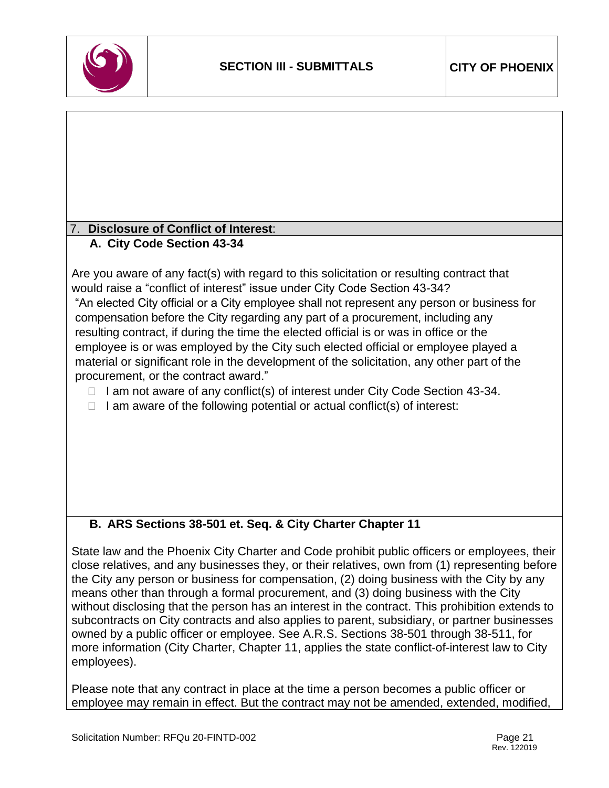

### 7. **Disclosure of Conflict of Interest**: **A. City Code Section 43-34**

Are you aware of any fact(s) with regard to this solicitation or resulting contract that would raise a "conflict of interest" issue under City Code Section 43-34? "An elected City official or a City employee shall not represent any person or business for compensation before the City regarding any part of a procurement, including any resulting contract, if during the time the elected official is or was in office or the employee is or was employed by the City such elected official or employee played a material or significant role in the development of the solicitation, any other part of the procurement, or the contract award."

- $\Box$  I am not aware of any conflict(s) of interest under City Code Section 43-34.
- $\Box$  I am aware of the following potential or actual conflict(s) of interest:

## **B. ARS Sections 38-501 et. Seq. & City Charter Chapter 11**

State law and the Phoenix City Charter and Code prohibit public officers or employees, their close relatives, and any businesses they, or their relatives, own from (1) representing before the City any person or business for compensation, (2) doing business with the City by any means other than through a formal procurement, and (3) doing business with the City without disclosing that the person has an interest in the contract. This prohibition extends to subcontracts on City contracts and also applies to parent, subsidiary, or partner businesses owned by a public officer or employee. See A.R.S. Sections 38-501 through 38-511, for more information (City Charter, Chapter 11, applies the state conflict-of-interest law to City employees).

Please note that any contract in place at the time a person becomes a public officer or employee may remain in effect. But the contract may not be amended, extended, modified,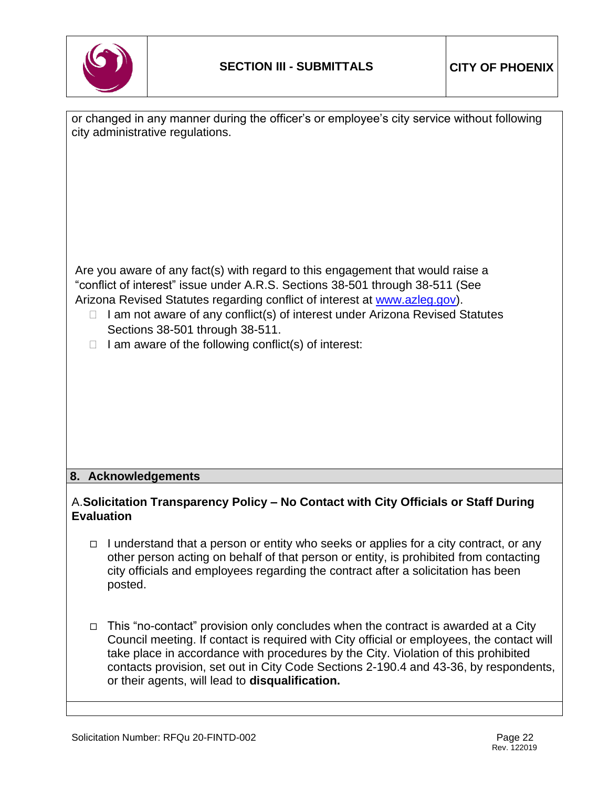

|                                                                                                           | or changed in any manner during the officer's or employee's city service without following<br>city administrative regulations.<br>Are you aware of any fact(s) with regard to this engagement that would raise a<br>"conflict of interest" issue under A.R.S. Sections 38-501 through 38-511 (See<br>Arizona Revised Statutes regarding conflict of interest at www.azleg.gov).<br>I am not aware of any conflict(s) of interest under Arizona Revised Statutes<br>Sections 38-501 through 38-511.<br>I am aware of the following conflict(s) of interest: |  |  |
|-----------------------------------------------------------------------------------------------------------|------------------------------------------------------------------------------------------------------------------------------------------------------------------------------------------------------------------------------------------------------------------------------------------------------------------------------------------------------------------------------------------------------------------------------------------------------------------------------------------------------------------------------------------------------------|--|--|
|                                                                                                           |                                                                                                                                                                                                                                                                                                                                                                                                                                                                                                                                                            |  |  |
|                                                                                                           | 8. Acknowledgements                                                                                                                                                                                                                                                                                                                                                                                                                                                                                                                                        |  |  |
| A. Solicitation Transparency Policy - No Contact with City Officials or Staff During<br><b>Evaluation</b> |                                                                                                                                                                                                                                                                                                                                                                                                                                                                                                                                                            |  |  |
| □                                                                                                         | I understand that a person or entity who seeks or applies for a city contract, or any<br>other person acting on behalf of that person or entity, is prohibited from contacting<br>city officials and employees regarding the contract after a solicitation has been<br>posted.                                                                                                                                                                                                                                                                             |  |  |
| $\Box$                                                                                                    | This "no-contact" provision only concludes when the contract is awarded at a City<br>Council meeting. If contact is required with City official or employees, the contact will<br>take place in accordance with procedures by the City. Violation of this prohibited<br>contacts provision, set out in City Code Sections 2-190.4 and 43-36, by respondents,<br>or their agents, will lead to disqualification.                                                                                                                                            |  |  |